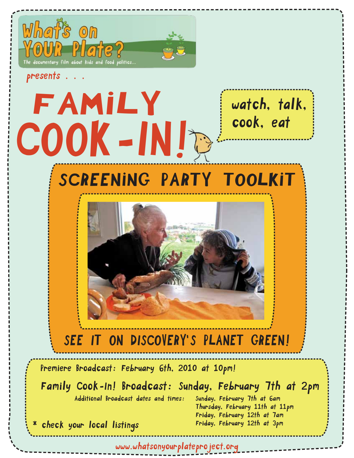

FAMILY

COOK-IN!

presents.

watch, talk, cook, eat

## SCREENING PARTY TOOLKIT



### SEE IT ON DISCOVERY'S PLANET GREEN!

Premiere Broadcast: February 6th, 2010 at 10pm!

 Family Cook-ln! Broadcast: Sunday, February 7th at 2pm Additional Broadcast dates and times: Sunday, February 7th at 6am

 Thursday, February 11th at 11pm Friday, February 12th at 7am Friday, February 12th at 3pm

\* check your local listings

www.whatsonyourplateproject.org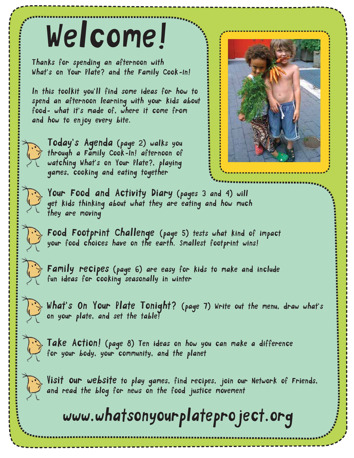## Welcome!

Thanks for spending an afternoon with What's on Your Plate? and the Family Cook-ln!

ln this toolkit you'll find some ideas for how to spend an afternoon learning with your kids about food- what it's made of, where it come from and how to enjoy every bite.





Today's Agenda (page 2) walks you through a Family Cook-ln! afternoon of watching What's on Your Plate?, playing games, cooking and eating together

Your Food and Activity Diary (pages 3 and 4) will get kids thinking about what they are eating and how much they are moving

Food Footprint Challenge (page 5) tests what kind of impact your food choices have on the earth. Smallest footprint wins!

Family recipes (page 6) are easy for kids to make and include fun ideas for cooking seasonally in winter

What's On Your Plate Tonight? (page 7) Write out the menu, draw what's on your plate, and set the table!

Take Action! (page 8) Ten ideas on how you can make a difference for your body, your community, and the planet

Visit our website to play games, find recipes, join our Network of Friends, and read the blog for news on the food justice movement

### www.whatsonyourplateproject.org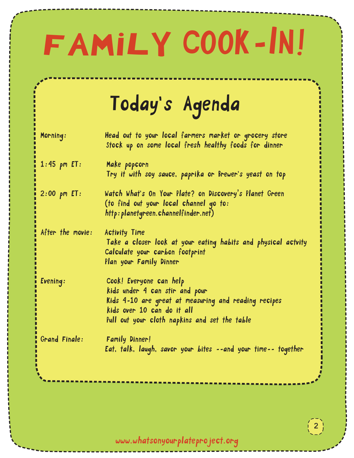# FAMILY COOK-lN!

## Today's Agenda

| Morning:         | Head out to your local farmers market or grocery store<br>Stock up on some local fresh healthy foods for dinner                                                                                  |
|------------------|--------------------------------------------------------------------------------------------------------------------------------------------------------------------------------------------------|
| $1:45$ pm $ET:$  | Make popcorn<br>Try it with soy sauce, paprika or Brewer's yeast on top                                                                                                                          |
| $2:00$ pm $ET:$  | Watch What's On Your Plate? on Discovery's Planet Green<br>(to find out your local channel go to:<br>http: planetgreen.channelfinder.net)                                                        |
| After the movie: | <b>Activity Time</b><br>Take a closer look at your eating habits and physical actvity<br>Calculate your carbon footprint<br>Plan your Family Dinner                                              |
| Evening:         | Cook! Everyone can help<br>kids under 4 can stir and pour<br>Kids 4-10 are great at measuring and reading recipes<br>kids over 10 can do it all<br>Pull out your cloth napkins and set the table |
| Grand Finale:    | <b>Family Dinner!</b><br>Eat, talk, laugh, savor your bites --and your time-- together                                                                                                           |
|                  |                                                                                                                                                                                                  |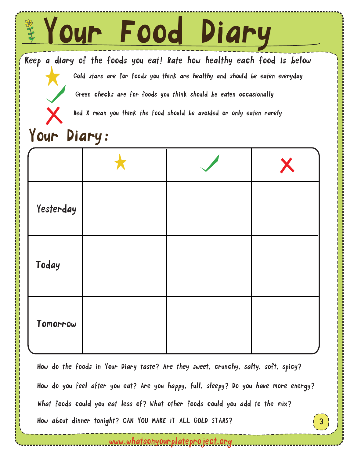

3 How do the foods in Your Diary taste? Are they sweet, crunchy, salty, soft, spicy? How about dinner tonight? CAN YOU MAKE IT ALL GOLD STARS? What foods could you eat less of? What other foods could you add to the mix? How do you feel after you eat? Are you happy, full, sleepy? Do you have more energy?

<u>www.whatsonyourplateproject.org</u>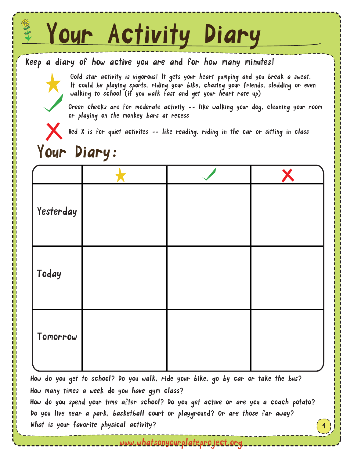## Your Activity Diary

#### Keep a diary of how active you are and for how many minutes!

Gold star activity is vigorous! lt gets your heart pumping and you break a sweat. lt could be playing sports, riding your bike, chasing your friends, sledding or even walking to school (if you walk fast and get your heart rate up)

Green checks are for moderate activity -- like walking your dog, cleaning your room or playing on the monkey bars at recess

Red X is for quiet activites -- like reading, riding in the car or sitting in class

### Your Diary:

| Yesterday |  |  |
|-----------|--|--|
| Today     |  |  |
| Tomorrow  |  |  |

 How do you spend your time after school? Do you get active or are you a coach potato? How many times a week do you have gym class? How do you get to school? Do you walk, ride your bike, go by car or take the bus?

Do you live near a park, basketball court or playground? Or are those far away? What is your favorite physical activity?

www.whatsonyourplateproject.org

4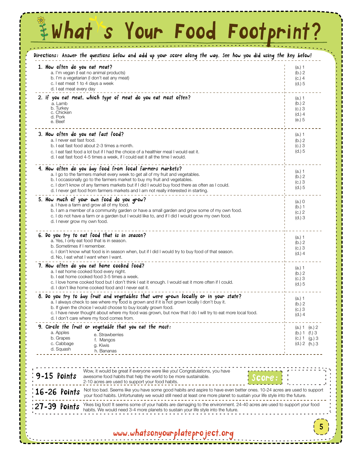## #What's Your Food Footprint?

| Directions: Answer the questions below and add up your score along the way. See how you did using the key below!                                                                                                                                                                                                                                                                                                      |                                                                      |
|-----------------------------------------------------------------------------------------------------------------------------------------------------------------------------------------------------------------------------------------------------------------------------------------------------------------------------------------------------------------------------------------------------------------------|----------------------------------------------------------------------|
| 1. How often do you eat meat?<br>a. I'm vegan (I eat no animal products)<br>b. I'm a vegetarian (I don't eat any meat)<br>c. I eat meat 1 to 4 days a week<br>d. I eat meat every day                                                                                                                                                                                                                                 | $(a.)$ 1<br>(b.) 2<br>$(C.)$ 4<br>$(d.)$ 5                           |
| 2. if you eat meat, which type of meat do you eat most often?<br>a. Lamb<br>b. Turkey<br>c. Chicken<br>d. Pork<br>e. Beef                                                                                                                                                                                                                                                                                             | (a.) 1<br>(b.) 2<br>$(C.)$ 3<br>(d.) 4<br>(e.) 5                     |
| 3. How often do you eat fast food?<br>a. I never eat fast food.<br>b. I eat fast food about 2-3 times a month.<br>c. I eat fast food a lot but if I had the choice of a healthier meal I would eat it.<br>d. I eat fast food 4-5 times a week, if I could eat it all the time I would.                                                                                                                                | (a.) 1<br>(b.) 2<br>$(C.)$ 3<br>$(d.)$ 5                             |
| 4. How often do you buy food from local farmers markets?<br>a. I go to the farmers market every week to get all of my fruit and vegetables.<br>b. I occasionally go to the farmers market to buy my fruit and vegetables.<br>c. I don't know of any farmers markets but if I did I would buy food there as often as I could.<br>d. I never get food from farmers markets and I am not really interested in starting.  | (a.) 1<br>(b.) 2<br>$(C.)$ 3<br>(d.) 5                               |
| 5. How much of your own food do you grow?<br>a. I have a farm and grow all of my food.<br>b. I am a member of a community garden or have a small garden and grow some of my own food.<br>c. I do not have a farm or a garden but I would like to, and if I did I would grow my own food.<br>d. I never grow my own food.                                                                                              | (a.) 0<br>(b.) 1<br>(c.) 2<br>$(d.)$ 3                               |
| 6. Do you try to eat food that is in season?<br>a. Yes, I only eat food that is in season.<br>b. Sometimes if I remember.<br>c. I don't know what food is in season when, but if I did I would try to buy food of that season.<br>d. No, I eat what I want when I want.                                                                                                                                               | (a.) 1<br>(b.) 2<br>$(c.)$ 3<br>(d.) 4                               |
| 7. How often do you eat home cooked food?<br>a. I eat home cooked food every night.<br>b. I eat home cooked food 3-5 times a week.<br>c. I love home cooked food but I don't think I eat it enough. I would eat it more often if I could.<br>d. I don't like home cooked food and I never eat it.                                                                                                                     | (a.) 1<br>(b.) 2<br>$(C.)$ 3<br>(d.) 5                               |
| 8. Do you try to buy fruit and vegetables that were grown locally or in your state?<br>a. I always check to see where my tood is grown and if it is not grown locally I don't buy it.<br>b. If given the choice I would choose to buy locally grown food.<br>c. I have never thought about where my food was grown, but now that I do I will try to eat more local food.<br>d. I don't care where my food comes from. | (a.) 1<br>(b.) 2<br>$(C.)$ 3<br>(d.) 4                               |
| 9. Circle the fruit or vegetable that you eat the most:<br>a. Apples<br>e. Strawberries<br>b. Grapes<br>f. Mangos<br>c. Cabbage<br>g. Kiwis<br>d. Squash<br>h. Bananas                                                                                                                                                                                                                                                | (a.) 1 (e.) 2<br>(b.) 1 (f.) 3<br>$(C.) 1$ $(g.) 3$<br>(d.) 2 (h.) 3 |
| Wow, it would be great if everyone were like you! Congratulations, you have<br>9-15 Points<br>awesome food habits that help the world to be more sustainable.<br>2-10 acres are used to support your food habits.                                                                                                                                                                                                     |                                                                      |
| Not too bad. Seems like you have some good habits and aspire to have even better ones. 10-24 acres are used to support<br>:16-26 Points<br>your food habits. Unfortunately we would still need at least one more planet to sustain your life style into the future.<br>Yikes big foot! It seems some of your habits are damaging to the environment. 24-40 acres are used to support your food<br>:27-39 Points       |                                                                      |
| habits. We would need 3-4 more planets to sustain your life style into the future.<br>www.whatsonyourplateproject.org                                                                                                                                                                                                                                                                                                 |                                                                      |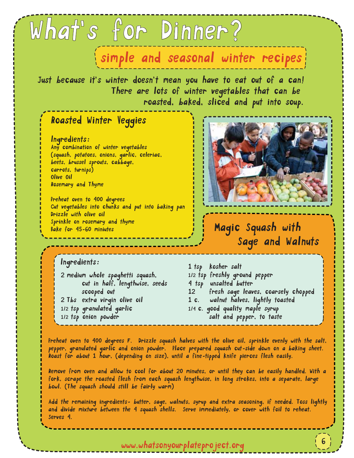#### simple and seasonal winter recipes

Just because it's winter doesn't mean you have to eat out of a can! There are lots of winter vegetables that can be roasted, baked, sliced and put into soup.

What's for Dinner?

#### Roasted Winter Veggies

#### lngredients:

Any combination of winter vegetables (squash, potatoes, onions, garlic, celeriac, beets, brussel sprouts, cabbage, carrots, turnips) Olive Oil Rosemary and Thyme

Preheat oven to 400 degrees Cut vegetables into chunks and put into baking pan Drizzle with olive oil Sprinkle on rosemary and thyme Bake for 45-60 miniutes



#### Magic Squash with Sage and Walnuts

6

#### lngredients:

2 medium whole spaghetti squash, cut in half, lengthwise, seeds scooped out 2 Tbs extra virgin olive oil 1/2 tsp granulated garlic 1/2 tsp onion powder

1 tsp kosher salt 1/2 tsp freshly ground pepper 4 tsp unsalted butter 12 fresh sage leaves, coarsely chopped 1 c. walnut halves, lightly toasted 1/4 c. good quality maple syrup salt and pepper, to taste

Preheat oven to 400 degrees F. Drizzle squash halves with the olive oil, sprinkle evenly with the salt, pepper, granulated garlic and onion powder. Place prepared squash cut-side down on a baking sheet. Roast for about 1 hour, (depending on size), until a fine-tipped knife pierces flesh easily.

Remove from oven and allow to cool for about 20 minutes, or until they can be easily handled. With a fork, scrape the roasted flesh from each squash lengthwise, in long strokes, into a separate, large bowl. (The squash should still be fairly warm)

Add the remaining ingredients- butter, sage, walnuts, syrup and extra seasoning, if needed. Toss lightly and divide mixture between the 4 squash shells. Serve immediately, or cover with foil to reheat. Serves 4.

www.whatsonyourplateproject.org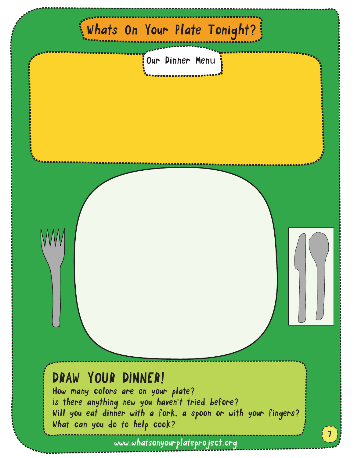